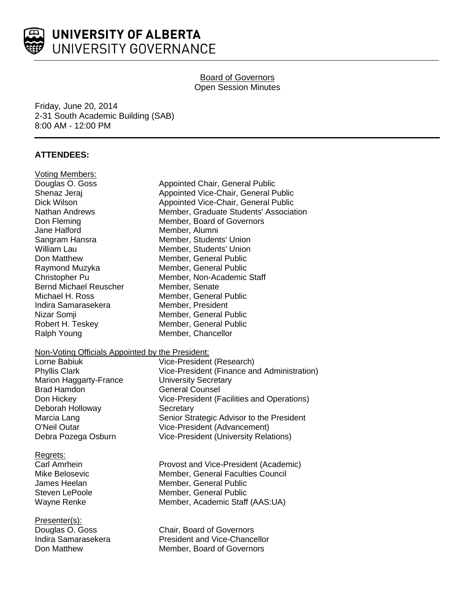

# **Board of Governors** Open Session Minutes

Friday, June 20, 2014 2-31 South Academic Building (SAB) 8:00 AM - 12:00 PM

# **ATTENDEES:**

| <b>Voting Members:</b>                           |                                              |
|--------------------------------------------------|----------------------------------------------|
| Douglas O. Goss                                  | <b>Appointed Chair, General Public</b>       |
| Shenaz Jeraj                                     | Appointed Vice-Chair, General Public         |
| Dick Wilson                                      | Appointed Vice-Chair, General Public         |
| <b>Nathan Andrews</b>                            | Member, Graduate Students' Association       |
| Don Fleming                                      | Member, Board of Governors                   |
| Jane Halford                                     | Member, Alumni                               |
| Sangram Hansra                                   | Member, Students' Union                      |
| <b>William Lau</b>                               | Member, Students' Union                      |
| Don Matthew                                      | Member, General Public                       |
| Raymond Muzyka                                   | Member, General Public                       |
| Christopher Pu                                   | Member, Non-Academic Staff                   |
| <b>Bernd Michael Reuscher</b>                    | Member, Senate                               |
| Michael H. Ross                                  | Member, General Public                       |
| Indira Samarasekera                              | Member, President                            |
| Nizar Somji                                      | Member, General Public                       |
| Robert H. Teskey                                 | Member, General Public                       |
| Ralph Young                                      | Member, Chancellor                           |
| Non-Voting Officials Appointed by the President: |                                              |
| Lorne Babiuk                                     | Vice-President (Research)                    |
| <b>Phyllis Clark</b>                             | Vice-President (Finance and Administration)  |
| <b>Marion Haggarty-France</b>                    | <b>University Secretary</b>                  |
| <b>Brad Hamdon</b>                               | <b>General Counsel</b>                       |
| Don Hickey                                       | Vice-President (Facilities and Operations)   |
| Deborah Holloway                                 | Secretary                                    |
| Marcia Lang                                      | Senior Strategic Advisor to the President    |
| O'Neil Outar                                     | Vice-President (Advancement)                 |
| Debra Pozega Osburn                              | <b>Vice-President (University Relations)</b> |
| Regrets:                                         |                                              |
| Carl Amrhein                                     | Provost and Vice-President (Academic)        |
| Mike Belosevic                                   | Member, General Faculties Council            |
| James Heelan                                     | Member, General Public                       |
| Steven LePoole                                   | Member, General Public                       |
| Wayne Renke                                      | Member, Academic Staff (AAS:UA)              |
| Presenter(s):                                    |                                              |
| Douglas O. Goss                                  | Chair, Board of Governors                    |
| Indira Samarasekera                              | <b>President and Vice-Chancellor</b>         |
| Don Matthew                                      | Member, Board of Governors                   |
|                                                  |                                              |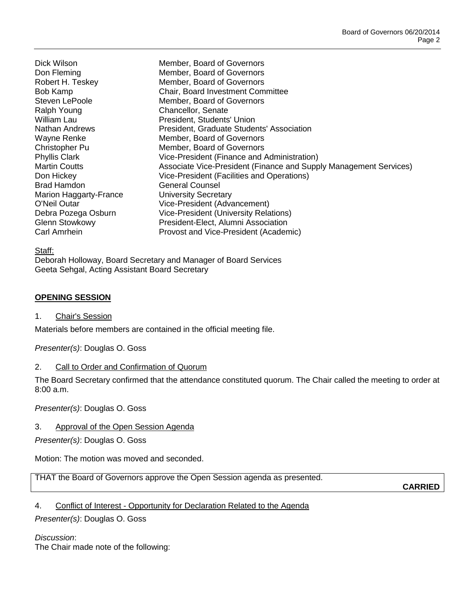Ralph Young **Chancellor**, Senate Brad Hamdon General Counsel Marion Haggarty-France University Secretary

Dick Wilson Member, Board of Governors Don Fleming Member, Board of Governors Robert H. Teskey Member, Board of Governors Bob Kamp Chair, Board Investment Committee Steven LePoole Member, Board of Governors William Lau **President, Students' Union** Nathan Andrews President, Graduate Students' Association Wayne Renke Member, Board of Governors Christopher Pu **Member**, Board of Governors Phyllis Clark Vice-President (Finance and Administration) Martin Coutts **Associate Vice-President (Finance and Supply Management Services)** Don Hickey Vice-President (Facilities and Operations) O'Neil Outar Vice-President (Advancement) Debra Pozega Osburn Vice-President (University Relations) Glenn Stowkowy President-Elect, Alumni Association Carl Amrhein **Provost and Vice-President (Academic)** 

#### Staff:

Deborah Holloway, Board Secretary and Manager of Board Services Geeta Sehgal, Acting Assistant Board Secretary

# **OPENING SESSION**

1. Chair's Session

Materials before members are contained in the official meeting file.

*Presenter(s)*: Douglas O. Goss

2. Call to Order and Confirmation of Quorum

The Board Secretary confirmed that the attendance constituted quorum. The Chair called the meeting to order at 8:00 a.m.

*Presenter(s)*: Douglas O. Goss

3. Approval of the Open Session Agenda

*Presenter(s)*: Douglas O. Goss

Motion: The motion was moved and seconded.

THAT the Board of Governors approve the Open Session agenda as presented.

**CARRIED**

# 4. Conflict of Interest - Opportunity for Declaration Related to the Agenda

*Presenter(s)*: Douglas O. Goss

*Discussion*: The Chair made note of the following: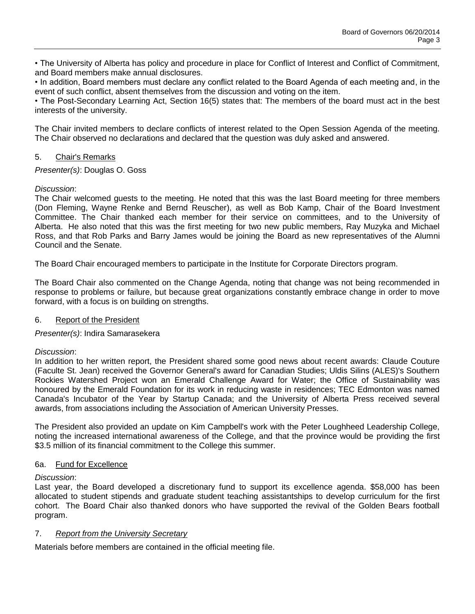• The University of Alberta has policy and procedure in place for Conflict of Interest and Conflict of Commitment, and Board members make annual disclosures.

• In addition, Board members must declare any conflict related to the Board Agenda of each meeting and, in the event of such conflict, absent themselves from the discussion and voting on the item.

• The Post-Secondary Learning Act, Section 16(5) states that: The members of the board must act in the best interests of the university.

The Chair invited members to declare conflicts of interest related to the Open Session Agenda of the meeting. The Chair observed no declarations and declared that the question was duly asked and answered.

# 5. Chair's Remarks

*Presenter(s)*: Douglas O. Goss

# *Discussion*:

The Chair welcomed guests to the meeting. He noted that this was the last Board meeting for three members (Don Fleming, Wayne Renke and Bernd Reuscher), as well as Bob Kamp, Chair of the Board Investment Committee. The Chair thanked each member for their service on committees, and to the University of Alberta. He also noted that this was the first meeting for two new public members, Ray Muzyka and Michael Ross, and that Rob Parks and Barry James would be joining the Board as new representatives of the Alumni Council and the Senate.

The Board Chair encouraged members to participate in the Institute for Corporate Directors program.

The Board Chair also commented on the Change Agenda, noting that change was not being recommended in response to problems or failure, but because great organizations constantly embrace change in order to move forward, with a focus is on building on strengths.

# 6. Report of the President

*Presenter(s)*: Indira Samarasekera

# *Discussion*:

In addition to her written report, the President shared some good news about recent awards: Claude Couture (Faculte St. Jean) received the Governor General's award for Canadian Studies; Uldis Silins (ALES)'s Southern Rockies Watershed Project won an Emerald Challenge Award for Water; the Office of Sustainability was honoured by the Emerald Foundation for its work in reducing waste in residences; TEC Edmonton was named Canada's Incubator of the Year by Startup Canada; and the University of Alberta Press received several awards, from associations including the Association of American University Presses.

The President also provided an update on Kim Campbell's work with the Peter Loughheed Leadership College, noting the increased international awareness of the College, and that the province would be providing the first \$3.5 million of its financial commitment to the College this summer.

# 6a. Fund for Excellence

# *Discussion*:

Last year, the Board developed a discretionary fund to support its excellence agenda. \$58,000 has been allocated to student stipends and graduate student teaching assistantships to develop curriculum for the first cohort. The Board Chair also thanked donors who have supported the revival of the Golden Bears football program.

# 7. *Report from the University Secretary*

Materials before members are contained in the official meeting file.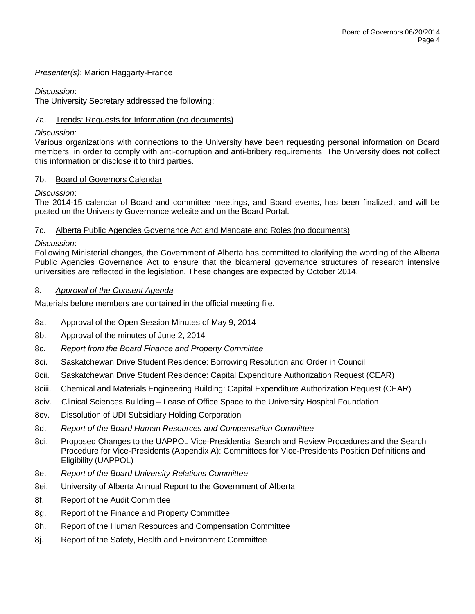# *Presenter(s)*: Marion Haggarty-France

# *Discussion*:

The University Secretary addressed the following:

# 7a. Trends: Requests for Information (no documents)

# *Discussion*:

Various organizations with connections to the University have been requesting personal information on Board members, in order to comply with anti-corruption and anti-bribery requirements. The University does not collect this information or disclose it to third parties.

# 7b. Board of Governors Calendar

# *Discussion*:

The 2014-15 calendar of Board and committee meetings, and Board events, has been finalized, and will be posted on the University Governance website and on the Board Portal.

# 7c. Alberta Public Agencies Governance Act and Mandate and Roles (no documents)

# *Discussion*:

Following Ministerial changes, the Government of Alberta has committed to clarifying the wording of the Alberta Public Agencies Governance Act to ensure that the bicameral governance structures of research intensive universities are reflected in the legislation. These changes are expected by October 2014.

# 8. *Approval of the Consent Agenda*

Materials before members are contained in the official meeting file.

- 8a. Approval of the Open Session Minutes of May 9, 2014
- 8b. Approval of the minutes of June 2, 2014
- 8c. *Report from the Board Finance and Property Committee*
- 8ci. Saskatchewan Drive Student Residence: Borrowing Resolution and Order in Council
- 8cii. Saskatchewan Drive Student Residence: Capital Expenditure Authorization Request (CEAR)
- 8ciii. Chemical and Materials Engineering Building: Capital Expenditure Authorization Request (CEAR)
- 8civ. Clinical Sciences Building Lease of Office Space to the University Hospital Foundation
- 8cv. Dissolution of UDI Subsidiary Holding Corporation
- 8d. *Report of the Board Human Resources and Compensation Committee*
- 8di. Proposed Changes to the UAPPOL Vice-Presidential Search and Review Procedures and the Search Procedure for Vice-Presidents (Appendix A): Committees for Vice-Presidents Position Definitions and Eligibility (UAPPOL)
- 8e. *Report of the Board University Relations Committee*
- 8ei. University of Alberta Annual Report to the Government of Alberta
- 8f. Report of the Audit Committee
- 8g. Report of the Finance and Property Committee
- 8h. Report of the Human Resources and Compensation Committee
- 8j. Report of the Safety, Health and Environment Committee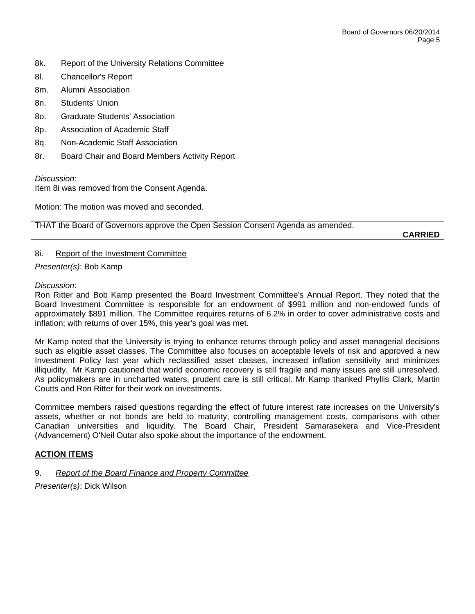- 8k. Report of the University Relations Committee
- 8l. Chancellor's Report
- 8m. Alumni Association
- 8n. Students' Union
- 8o. Graduate Students' Association
- 8p. Association of Academic Staff
- 8q. Non-Academic Staff Association
- 8r. Board Chair and Board Members Activity Report

*Discussion*:

Item 8i was removed from the Consent Agenda.

Motion: The motion was moved and seconded.

THAT the Board of Governors approve the Open Session Consent Agenda as amended.

**CARRIED**

#### 8i. Report of the Investment Committee

*Presenter(s)*: Bob Kamp

#### *Discussion*:

Ron Ritter and Bob Kamp presented the Board Investment Committee's Annual Report. They noted that the Board Investment Committee is responsible for an endowment of \$991 million and non-endowed funds of approximately \$891 million. The Committee requires returns of 6.2% in order to cover administrative costs and inflation; with returns of over 15%, this year's goal was met.

Mr Kamp noted that the University is trying to enhance returns through policy and asset managerial decisions such as eligible asset classes. The Committee also focuses on acceptable levels of risk and approved a new Investment Policy last year which reclassified asset classes, increased inflation sensitivity and minimizes illiquidity. Mr Kamp cautioned that world economic recovery is still fragile and many issues are still unresolved. As policymakers are in uncharted waters, prudent care is still critical. Mr Kamp thanked Phyllis Clark, Martin Coutts and Ron Ritter for their work on investments.

Committee members raised questions regarding the effect of future interest rate increases on the University's assets, whether or not bonds are held to maturity, controlling management costs, comparisons with other Canadian universities and liquidity. The Board Chair, President Samarasekera and Vice-President (Advancement) O'Neil Outar also spoke about the importance of the endowment.

# **ACTION ITEMS**

# 9. *Report of the Board Finance and Property Committee*

*Presenter(s)*: Dick Wilson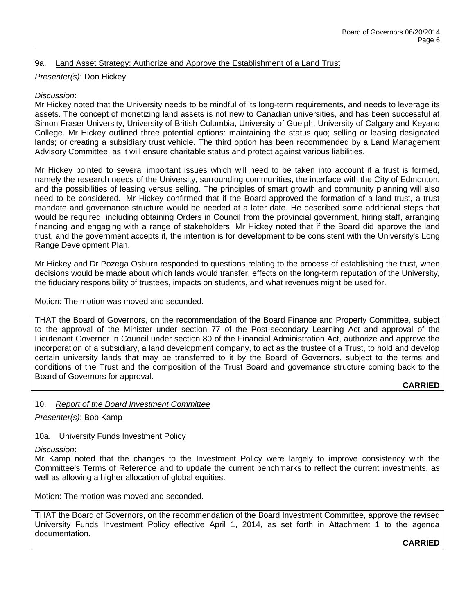# 9a. Land Asset Strategy: Authorize and Approve the Establishment of a Land Trust

# *Presenter(s)*: Don Hickey

#### *Discussion*:

Mr Hickey noted that the University needs to be mindful of its long-term requirements, and needs to leverage its assets. The concept of monetizing land assets is not new to Canadian universities, and has been successful at Simon Fraser University, University of British Columbia, University of Guelph, University of Calgary and Keyano College. Mr Hickey outlined three potential options: maintaining the status quo; selling or leasing designated lands; or creating a subsidiary trust vehicle. The third option has been recommended by a Land Management Advisory Committee, as it will ensure charitable status and protect against various liabilities.

Mr Hickey pointed to several important issues which will need to be taken into account if a trust is formed, namely the research needs of the University, surrounding communities, the interface with the City of Edmonton, and the possibilities of leasing versus selling. The principles of smart growth and community planning will also need to be considered. Mr Hickey confirmed that if the Board approved the formation of a land trust, a trust mandate and governance structure would be needed at a later date. He described some additional steps that would be required, including obtaining Orders in Council from the provincial government, hiring staff, arranging financing and engaging with a range of stakeholders. Mr Hickey noted that if the Board did approve the land trust, and the government accepts it, the intention is for development to be consistent with the University's Long Range Development Plan.

Mr Hickey and Dr Pozega Osburn responded to questions relating to the process of establishing the trust, when decisions would be made about which lands would transfer, effects on the long-term reputation of the University, the fiduciary responsibility of trustees, impacts on students, and what revenues might be used for.

Motion: The motion was moved and seconded.

THAT the Board of Governors, on the recommendation of the Board Finance and Property Committee, subject to the approval of the Minister under section 77 of the Post-secondary Learning Act and approval of the Lieutenant Governor in Council under section 80 of the Financial Administration Act, authorize and approve the incorporation of a subsidiary, a land development company, to act as the trustee of a Trust, to hold and develop certain university lands that may be transferred to it by the Board of Governors, subject to the terms and conditions of the Trust and the composition of the Trust Board and governance structure coming back to the Board of Governors for approval.

# **CARRIED**

# 10. *Report of the Board Investment Committee*

*Presenter(s)*: Bob Kamp

#### 10a. University Funds Investment Policy

*Discussion*:

Mr Kamp noted that the changes to the Investment Policy were largely to improve consistency with the Committee's Terms of Reference and to update the current benchmarks to reflect the current investments, as well as allowing a higher allocation of global equities.

Motion: The motion was moved and seconded.

THAT the Board of Governors, on the recommendation of the Board Investment Committee, approve the revised University Funds Investment Policy effective April 1, 2014, as set forth in Attachment 1 to the agenda documentation.

**CARRIED**